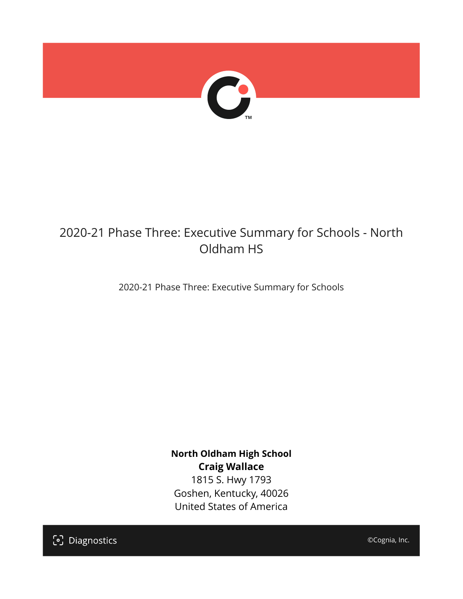

## 2020-21 Phase Three: Executive Summary for Schools - North Oldham HS

2020-21 Phase Three: Executive Summary for Schools

**North Oldham High School Craig Wallace** 1815 S. Hwy 1793 Goshen, Kentucky, 40026 United States of America

[၁] Diagnostics

©Cognia, Inc.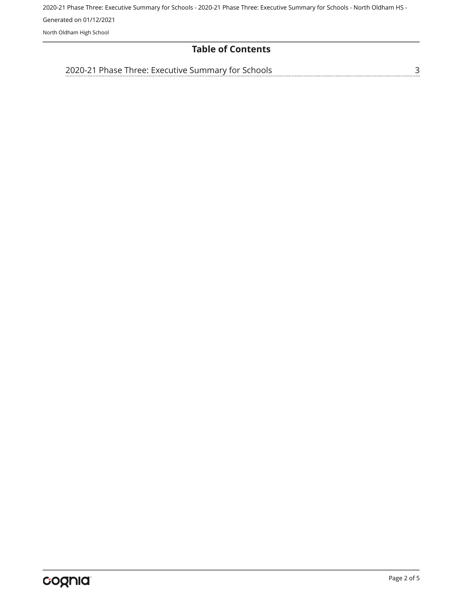## **Table of Contents**

[2020-21 Phase Three: Executive Summary for Schools](#page-2-0)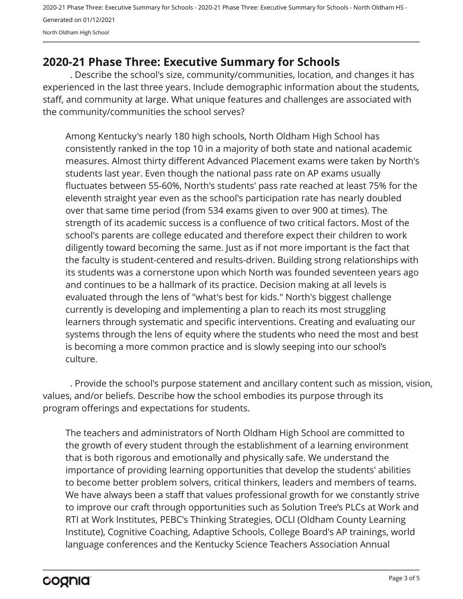## <span id="page-2-0"></span>**2020-21 Phase Three: Executive Summary for Schools**

. Describe the school's size, community/communities, location, and changes it has experienced in the last three years. Include demographic information about the students, staff, and community at large. What unique features and challenges are associated with the community/communities the school serves?

Among Kentucky's nearly 180 high schools, North Oldham High School has consistently ranked in the top 10 in a majority of both state and national academic measures. Almost thirty different Advanced Placement exams were taken by North's students last year. Even though the national pass rate on AP exams usually fluctuates between 55-60%, North's students' pass rate reached at least 75% for the eleventh straight year even as the school's participation rate has nearly doubled over that same time period (from 534 exams given to over 900 at times). The strength of its academic success is a confluence of two critical factors. Most of the school's parents are college educated and therefore expect their children to work diligently toward becoming the same. Just as if not more important is the fact that the faculty is student-centered and results-driven. Building strong relationships with its students was a cornerstone upon which North was founded seventeen years ago and continues to be a hallmark of its practice. Decision making at all levels is evaluated through the lens of "what's best for kids." North's biggest challenge currently is developing and implementing a plan to reach its most struggling learners through systematic and specific interventions. Creating and evaluating our systems through the lens of equity where the students who need the most and best is becoming a more common practice and is slowly seeping into our school's culture.

. Provide the school's purpose statement and ancillary content such as mission, vision, values, and/or beliefs. Describe how the school embodies its purpose through its program offerings and expectations for students.

The teachers and administrators of North Oldham High School are committed to the growth of every student through the establishment of a learning environment that is both rigorous and emotionally and physically safe. We understand the importance of providing learning opportunities that develop the students' abilities to become better problem solvers, critical thinkers, leaders and members of teams. We have always been a staff that values professional growth for we constantly strive to improve our craft through opportunities such as Solution Tree's PLCs at Work and RTI at Work Institutes, PEBC's Thinking Strategies, OCLI (Oldham County Learning Institute), Cognitive Coaching, Adaptive Schools, College Board's AP trainings, world language conferences and the Kentucky Science Teachers Association Annual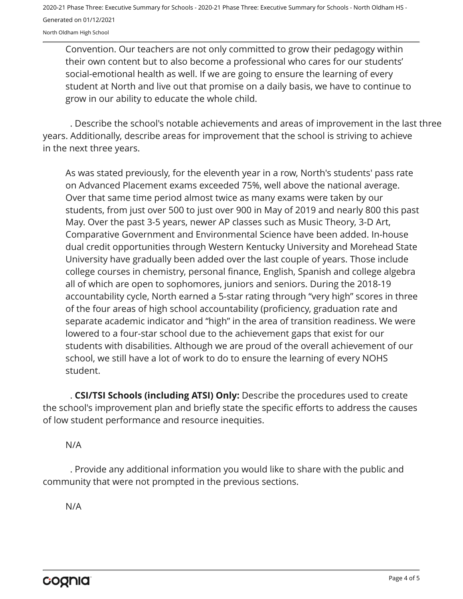Convention. Our teachers are not only committed to grow their pedagogy within their own content but to also become a professional who cares for our students' social-emotional health as well. If we are going to ensure the learning of every student at North and live out that promise on a daily basis, we have to continue to grow in our ability to educate the whole child.

. Describe the school's notable achievements and areas of improvement in the last three years. Additionally, describe areas for improvement that the school is striving to achieve in the next three years.

As was stated previously, for the eleventh year in a row, North's students' pass rate on Advanced Placement exams exceeded 75%, well above the national average. Over that same time period almost twice as many exams were taken by our students, from just over 500 to just over 900 in May of 2019 and nearly 800 this past May. Over the past 3-5 years, newer AP classes such as Music Theory, 3-D Art, Comparative Government and Environmental Science have been added. In-house dual credit opportunities through Western Kentucky University and Morehead State University have gradually been added over the last couple of years. Those include college courses in chemistry, personal finance, English, Spanish and college algebra all of which are open to sophomores, juniors and seniors. During the 2018-19 accountability cycle, North earned a 5-star rating through "very high" scores in three of the four areas of high school accountability (proficiency, graduation rate and separate academic indicator and "high" in the area of transition readiness. We were lowered to a four-star school due to the achievement gaps that exist for our students with disabilities. Although we are proud of the overall achievement of our school, we still have a lot of work to do to ensure the learning of every NOHS student.

. **CSI/TSI Schools (including ATSI) Only:** Describe the procedures used to create the school's improvement plan and briefly state the specific efforts to address the causes of low student performance and resource inequities.

N/A

. Provide any additional information you would like to share with the public and community that were not prompted in the previous sections.

N/A